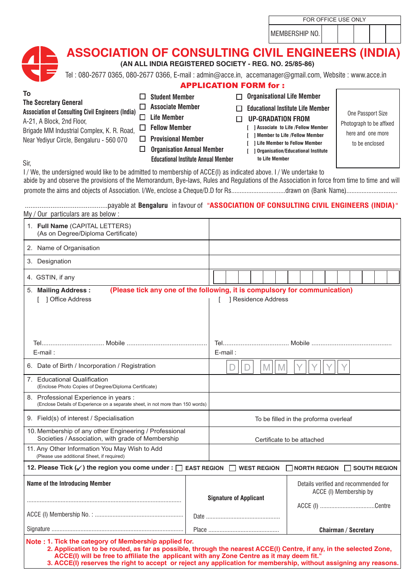| FOR OFFICE USE ONLY |
|---------------------|
|---------------------|

MEMBERSHIP NO.

| ASSOCIATION OF CONSULTING CIVIL ENGINEERS (INDIA)<br>(AN ALL INDIA REGISTERED SOCIETY - REG. NO. 25/85-86) |  |  |  |  |  |  |
|------------------------------------------------------------------------------------------------------------|--|--|--|--|--|--|
| Tel: 080-2677 0365, 080-2677 0366, E-mail: admin@acce.in, accemanager@gmail.com, Website: www.acce.in      |  |  |  |  |  |  |
| <b>APPLICATION FORM for:</b>                                                                               |  |  |  |  |  |  |
| <b>Experient in the Member</b><br>$\Box$ $\Delta$ $\Box$ $\Box$ $\Box$ $\Box$ $\Box$ $\Box$                |  |  |  |  |  |  |

| To                                                                                                                                                                                                                                                               | <b>Student Member</b>                      | <b>Organisational Life Member</b>                                 |                          |
|------------------------------------------------------------------------------------------------------------------------------------------------------------------------------------------------------------------------------------------------------------------|--------------------------------------------|-------------------------------------------------------------------|--------------------------|
| <b>The Secretary General</b><br><b>Association of Consulting Civil Engineers (India)</b>                                                                                                                                                                         | <b>Associate Member</b>                    | <b>Educational Institute Life Member</b>                          | One Passport Size        |
| A-21, A Block, 2nd Floor,                                                                                                                                                                                                                                        | Life Member                                | <b>UP-GRADATION FROM</b>                                          | Photograph to be affixed |
| Brigade MM Industrial Complex, K. R. Road,                                                                                                                                                                                                                       | <b>Fellow Member</b>                       | <b>1 Associate to Life /Fellow Member</b>                         | here and one more        |
| Near Yediyur Circle, Bengaluru - 560 070                                                                                                                                                                                                                         | <b>Provisional Member</b>                  | ] Member to Life /Fellow Member<br>1 Life Member to Fellow Member | to be enclosed           |
|                                                                                                                                                                                                                                                                  | <b>Organisation Annual Member</b>          | <b>Organisation/Educational Institute</b>                         |                          |
| Sir,                                                                                                                                                                                                                                                             | <b>Educational Institute Annual Member</b> | to Life Member                                                    |                          |
| I/We, the undersigned would like to be admitted to membership of ACCE(I) as indicated above. I/We undertake to<br>phido by and obegrave the provisions of the Memorandum. Pue Jaws, Pulse and Poquiations of the Association in force from time to time and will |                                            |                                                                   |                          |

abide by and observe the provisions of the Memorandum, Bye-laws, Rules and Regulations of the Association in force from time to time and will promote the aims and objects of Association. enclose a Cheque/D.D for Rs................................drawn on ................ I/We, (Bank Name) ................

#### .............................................payable at **Bengaluru** in favour of "**ASSOCIATION OF CONSULTING CIVIL ENGINEERS (INDIA)**" My / Our particulars are as below :

| 1. Full Name (CAPITAL LETTERS)<br>(As on Degree/Diploma Certificate)                                                                                                                                                                                                                                                                                                                          |  |                                       |  |  |                     |  |  |  |                                                                |  |  |  |
|-----------------------------------------------------------------------------------------------------------------------------------------------------------------------------------------------------------------------------------------------------------------------------------------------------------------------------------------------------------------------------------------------|--|---------------------------------------|--|--|---------------------|--|--|--|----------------------------------------------------------------|--|--|--|
| 2. Name of Organisation                                                                                                                                                                                                                                                                                                                                                                       |  |                                       |  |  |                     |  |  |  |                                                                |  |  |  |
| 3. Designation                                                                                                                                                                                                                                                                                                                                                                                |  |                                       |  |  |                     |  |  |  |                                                                |  |  |  |
| 4. GSTIN, if any                                                                                                                                                                                                                                                                                                                                                                              |  |                                       |  |  |                     |  |  |  |                                                                |  |  |  |
| (Please tick any one of the following, it is compulsory for communication)<br>5. Mailing Address:<br>[ ] Office Address                                                                                                                                                                                                                                                                       |  |                                       |  |  | ] Residence Address |  |  |  |                                                                |  |  |  |
|                                                                                                                                                                                                                                                                                                                                                                                               |  |                                       |  |  |                     |  |  |  |                                                                |  |  |  |
| E-mail:                                                                                                                                                                                                                                                                                                                                                                                       |  | E-mail:                               |  |  |                     |  |  |  |                                                                |  |  |  |
| 6. Date of Birth / Incorporation / Registration                                                                                                                                                                                                                                                                                                                                               |  |                                       |  |  | M                   |  |  |  |                                                                |  |  |  |
| 7. Educational Qualification<br>(Enclose Photo Copies of Degree/Diploma Certificate)                                                                                                                                                                                                                                                                                                          |  |                                       |  |  |                     |  |  |  |                                                                |  |  |  |
| 8. Professional Experience in years :<br>(Enclose Details of Experience on a separate sheet, in not more than 150 words)                                                                                                                                                                                                                                                                      |  |                                       |  |  |                     |  |  |  |                                                                |  |  |  |
| 9. Field(s) of interest / Specialisation                                                                                                                                                                                                                                                                                                                                                      |  | To be filled in the proforma overleaf |  |  |                     |  |  |  |                                                                |  |  |  |
| 10. Membership of any other Engineering / Professional<br>Societies / Association, with grade of Membership                                                                                                                                                                                                                                                                                   |  | Certificate to be attached            |  |  |                     |  |  |  |                                                                |  |  |  |
| 11. Any Other Information You May Wish to Add<br>(Please use additional Sheet, if required)                                                                                                                                                                                                                                                                                                   |  |                                       |  |  |                     |  |  |  |                                                                |  |  |  |
| 12. Please Tick $(\checkmark)$ the region you come under : $\Box$ EAST REGION $\Box$ WEST REGION                                                                                                                                                                                                                                                                                              |  |                                       |  |  |                     |  |  |  | $\Box$ NORTH REGION $\Box$ SOUTH REGION                        |  |  |  |
| Name of the Introducing Member                                                                                                                                                                                                                                                                                                                                                                |  | <b>Signature of Applicant</b>         |  |  |                     |  |  |  | Details verified and recommended for<br>ACCE (I) Membership by |  |  |  |
|                                                                                                                                                                                                                                                                                                                                                                                               |  |                                       |  |  |                     |  |  |  |                                                                |  |  |  |
|                                                                                                                                                                                                                                                                                                                                                                                               |  | <b>Chairman / Secretary</b>           |  |  |                     |  |  |  |                                                                |  |  |  |
| Note : 1. Tick the category of Membership applied for.<br>2. Application to be routed, as far as possible, through the nearest ACCE(I) Centre, if any, in the selected Zone,<br>ACCE(I) will be free to affiliate the applicant with any Zone Centre as it may deem fit."<br>3. ACCE(I) reserves the right to accept or reject any application for membership, without assigning any reasons. |  |                                       |  |  |                     |  |  |  |                                                                |  |  |  |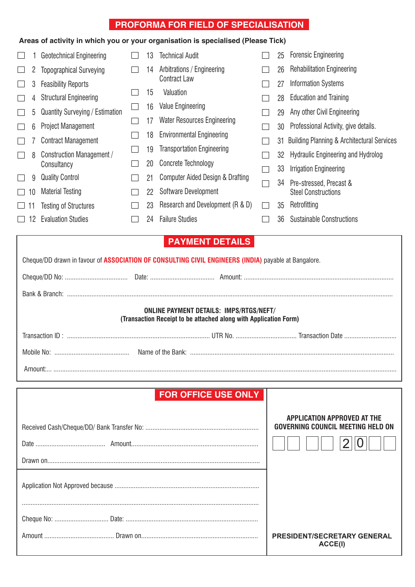## **PROFORMA FOR FIELD OF SPECIALISATION**

### **Areas of activity in which you or your organisation is specialised (Please Tick)**

|           |    | Geotechnical Engineering        | 13 | <b>Technical Audit</b>             | 25 | <b>Forensic Engineering</b>                           |
|-----------|----|---------------------------------|----|------------------------------------|----|-------------------------------------------------------|
|           | 2  | <b>Topographical Surveying</b>  | 14 | Arbitrations / Engineering         | 26 | <b>Rehabilitation Engineering</b>                     |
|           | 3  | <b>Feasibility Reports</b>      |    | <b>Contract Law</b>                | 27 | <b>Information Systems</b>                            |
|           | 4  | <b>Structural Engineering</b>   | 15 | Valuation                          | 28 | <b>Education and Training</b>                         |
|           | 5  | Quantity Surveying / Estimation | 16 | <b>Value Engineering</b>           | 29 | Any other Civil Engineering                           |
|           | 6  | <b>Project Management</b>       | 17 | <b>Water Resources Engineering</b> | 30 | Professional Activity, give details.                  |
|           |    | <b>Contract Management</b>      | 18 | <b>Environmental Engineering</b>   | 31 | <b>Building Planning &amp; Architectural Services</b> |
|           | 8  | Construction Management /       | 19 | <b>Transportation Engineering</b>  | 32 | <b>Hydraulic Engineering and Hydrolog</b>             |
|           |    | Consultancy                     | 20 | <b>Concrete Technology</b>         | 33 | Irrigation Engineering                                |
|           | 9  | <b>Quality Control</b>          | 21 | Computer Aided Design & Drafting   | 34 | Pre-stressed, Precast &                               |
| $\Box$ 10 |    | <b>Material Testing</b>         | 22 | Software Development               |    | <b>Steel Constructions</b>                            |
| ⊔ 1       |    | <b>Testing of Structures</b>    | 23 | Research and Development (R & D)   | 35 | Retrofitting                                          |
|           | 12 | <b>Evaluation Studies</b>       | 24 | <b>Failure Studies</b>             | 36 | <b>Sustainable Constructions</b>                      |

## **PAYMENT DETAILS**

| Cheque/DD drawn in favour of ASSOCIATION OF CONSULTING CIVIL ENGINEERS (INDIA) payable at Bangalore.               |  |  |  |  |  |  |  |  |
|--------------------------------------------------------------------------------------------------------------------|--|--|--|--|--|--|--|--|
|                                                                                                                    |  |  |  |  |  |  |  |  |
|                                                                                                                    |  |  |  |  |  |  |  |  |
| <b>ONLINE PAYMENT DETAILS: IMPS/RTGS/NEFT/</b><br>(Transaction Receipt to be attached along with Application Form) |  |  |  |  |  |  |  |  |
|                                                                                                                    |  |  |  |  |  |  |  |  |
|                                                                                                                    |  |  |  |  |  |  |  |  |
|                                                                                                                    |  |  |  |  |  |  |  |  |

## **FOR OFFICE USE ONLY**

| <b>APPLICATION APPROVED AT THE</b><br><b>GOVERNING COUNCIL MEETING HELD ON</b> |
|--------------------------------------------------------------------------------|
|                                                                                |
|                                                                                |
|                                                                                |
|                                                                                |
| <b>PRESIDENT/SECRETARY GENERAL</b>                                             |